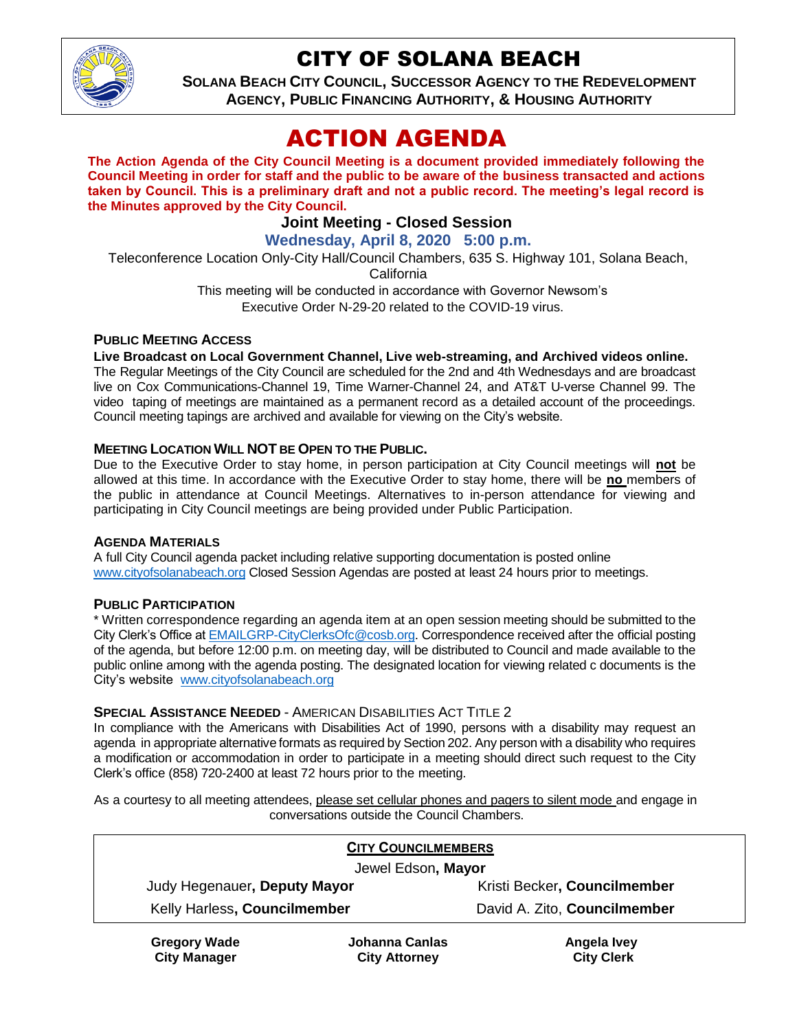

# CITY OF SOLANA BEACH

**SOLANA BEACH CITY COUNCIL, SUCCESSOR AGENCY TO THE REDEVELOPMENT AGENCY, PUBLIC FINANCING AUTHORITY, & HOUSING AUTHORITY**

# ACTION AGENDA

**The Action Agenda of the City Council Meeting is a document provided immediately following the Council Meeting in order for staff and the public to be aware of the business transacted and actions taken by Council. This is a preliminary draft and not a public record. The meeting's legal record is the Minutes approved by the City Council.**

# **Joint Meeting - Closed Session**

**Wednesday, April 8, 2020 5:00 p.m.**

Teleconference Location Only-City Hall/Council Chambers, 635 S. Highway 101, Solana Beach,

California

This meeting will be conducted in accordance with Governor Newsom's Executive Order N-29-20 related to the COVID-19 virus.

## **PUBLIC MEETING ACCESS**

**Live Broadcast on Local Government Channel, Live web-streaming, and Archived videos online.**

The Regular Meetings of the City Council are scheduled for the 2nd and 4th Wednesdays and are broadcast live on Cox Communications-Channel 19, Time Warner-Channel 24, and AT&T U-verse Channel 99. The video taping of meetings are maintained as a permanent record as a detailed account of the proceedings. Council meeting tapings are archived and available for viewing on the City's website.

## **MEETING LOCATION WILL NOT BE OPEN TO THE PUBLIC.**

Due to the Executive Order to stay home, in person participation at City Council meetings will **not** be allowed at this time. In accordance with the Executive Order to stay home, there will be **no** members of the public in attendance at Council Meetings. Alternatives to in-person attendance for viewing and participating in City Council meetings are being provided under Public Participation.

## **AGENDA MATERIALS**

A full City Council agenda packet including relative supporting documentation is posted online [www.cityofsolanabeach.org](http://www.cityofsolanabeach.org/) Closed Session Agendas are posted at least 24 hours prior to meetings.

## **PUBLIC PARTICIPATION**

\* Written correspondence regarding an agenda item at an open session meeting should be submitted to the City Clerk's Office a[t EMAILGRP-CityClerksOfc@cosb.org.](mailto:EMAILGRP-CityClerksOfc@cosb.org) Correspondence received after the official posting of the agenda, but before 12:00 p.m. on meeting day, will be distributed to Council and made available to the public online among with the agenda posting. The designated location for viewing related c documents is the City's website [www.cityofsolanabeach.org](http://www.cityofsolanabeach.org/)

#### **SPECIAL ASSISTANCE NEEDED** - AMERICAN DISABILITIES ACT TITLE 2

In compliance with the Americans with Disabilities Act of 1990, persons with a disability may request an agenda in appropriate alternative formats as required by Section 202. Any person with a disability who requires a modification or accommodation in order to participate in a meeting should direct such request to the City Clerk's office (858) 720-2400 at least 72 hours prior to the meeting.

As a courtesy to all meeting attendees, please set cellular phones and pagers to silent mode and engage in conversations outside the Council Chambers.

| <b>CITY COUNCILMEMBERS</b>   |                |                              |  |
|------------------------------|----------------|------------------------------|--|
| Jewel Edson, Mayor           |                |                              |  |
| Judy Hegenauer, Deputy Mayor |                | Kristi Becker, Councilmember |  |
| Kelly Harless, Councilmember |                | David A. Zito, Councilmember |  |
| Gragory Wada                 | Johanna Canlas | wayl clannA                  |  |

**Gregory Wade City Manager**

**Johanna Canlas City Attorney**

**Angela Ivey City Clerk**